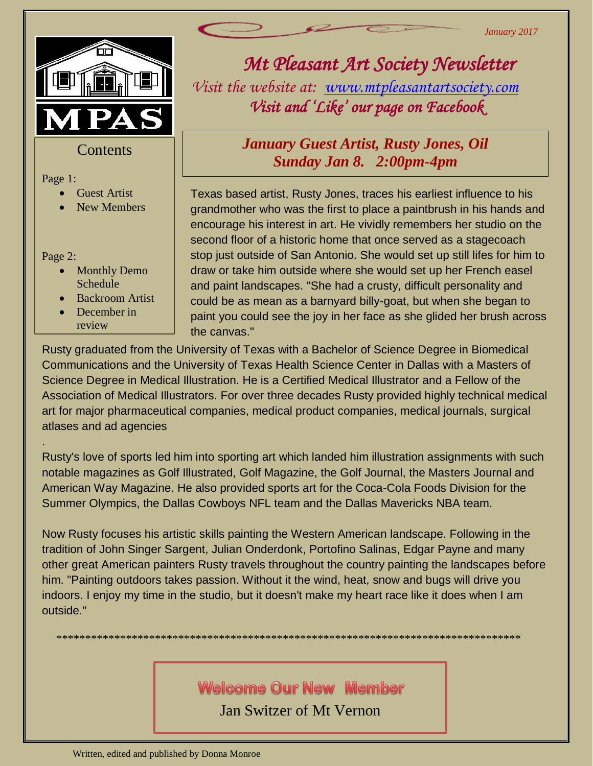*January 2017*



### **Contents**

#### Page 1:

- 
- Guest Artist<br>• New Membe New Members

Page 2: 

.

- Monthly Demo Schedule
- Backroom Artist
- December in review

# *Mt Pleasant Art Society Newsletter Visit the website at: [www.mtpleasantartsociety.com](http://www.mtpleasantartsociety.com/) Visit and 'Like' our page on Facebook*

## *January Guest Artist, Rusty Jones, Oil Sunday Jan 8. 2:00pm-4pm*

Texas based artist, Rusty Jones, traces his earliest influence to his grandmother who was the first to place a paintbrush in his hands and encourage his interest in art. He vividly remembers her studio on the second floor of a historic home that once served as a stagecoach stop just outside of San Antonio. She would set up still lifes for him to draw or take him outside where she would set up her French easel and paint landscapes. "She had a crusty, difficult personality and could be as mean as a barnyard billy-goat, but when she began to paint you could see the joy in her face as she glided her brush across the canvas."

Rusty graduated from the University of Texas with a Bachelor of Science Degree in Biomedical Communications and the University of Texas Health Science Center in Dallas with a Masters of Science Degree in Medical Illustration. He is a Certified Medical Illustrator and a Fellow of the Association of Medical Illustrators. For over three decades Rusty provided highly technical medical art for major pharmaceutical companies, medical product companies, medical journals, surgical atlases and ad agencies

Rusty's love of sports led him into sporting art which landed him illustration assignments with such notable magazines as Golf Illustrated, Golf Magazine, the Golf Journal, the Masters Journal and American Way Magazine. He also provided sports art for the Coca-Cola Foods Division for the Summer Olympics, the Dallas Cowboys NFL team and the Dallas Mavericks NBA team.

Now Rusty focuses his artistic skills painting the Western American landscape. Following in the tradition of John Singer Sargent, Julian Onderdonk, Portofino Salinas, Edgar Payne and many other great American painters Rusty travels throughout the country painting the landscapes before him. "Painting outdoors takes passion. Without it the wind, heat, snow and bugs will drive you indoors. I enjoy my time in the studio, but it doesn't make my heart race like it does when I am outside."

\*\*\*\*\*\*\*\*\*\*\*\*\*\*\*\*\*\*\*\*\*\*\*\*\*\*\*\*\*\*\*\*\*\*\*\*\*\*\*\*\*\*\*\*\*\*\*\*\*\*\*\*\*\*\*\*\*\*\*\*\*\*\*\*\*\*\*\*\*\*\*\*\*\*\*\*\*\*\*\*